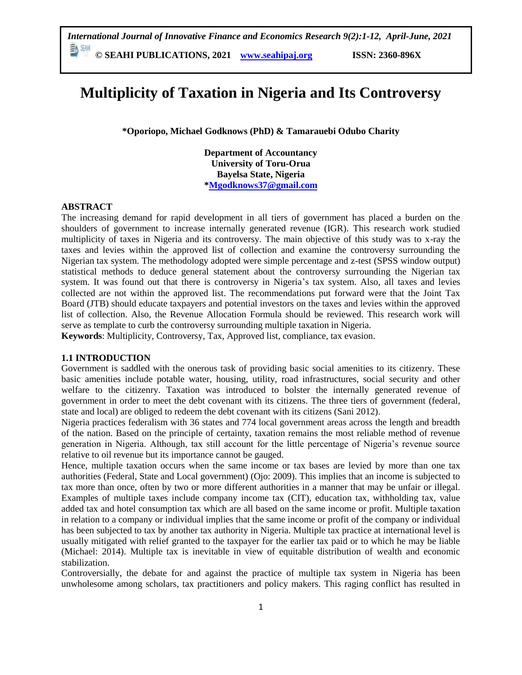**© SEAHI PUBLICATIONS, 2021 [www.seahipaj.org](http://www.seahipaj.org/) ISSN: 2360-896X**

# **Multiplicity of Taxation in Nigeria and Its Controversy**

**\*Oporiopo, Michael Godknows (PhD) & Tamarauebi Odubo Charity**

**Department of Accountancy University of Toru-Orua Bayelsa State, Nigeria [\\*Mgodknows37@gmail.com](mailto:Mgodknows37@gmail.com)**

#### **ABSTRACT**

The increasing demand for rapid development in all tiers of government has placed a burden on the shoulders of government to increase internally generated revenue (IGR). This research work studied multiplicity of taxes in Nigeria and its controversy. The main objective of this study was to x-ray the taxes and levies within the approved list of collection and examine the controversy surrounding the Nigerian tax system. The methodology adopted were simple percentage and z-test (SPSS window output) statistical methods to deduce general statement about the controversy surrounding the Nigerian tax system. It was found out that there is controversy in Nigeria's tax system. Also, all taxes and levies collected are not within the approved list. The recommendations put forward were that the Joint Tax Board (JTB) should educate taxpayers and potential investors on the taxes and levies within the approved list of collection. Also, the Revenue Allocation Formula should be reviewed. This research work will serve as template to curb the controversy surrounding multiple taxation in Nigeria.

**Keywords**: Multiplicity, Controversy, Tax, Approved list, compliance, tax evasion.

### **1.1 INTRODUCTION**

Government is saddled with the onerous task of providing basic social amenities to its citizenry. These basic amenities include potable water, housing, utility, road infrastructures, social security and other welfare to the citizenry. Taxation was introduced to bolster the internally generated revenue of government in order to meet the debt covenant with its citizens. The three tiers of government (federal, state and local) are obliged to redeem the debt covenant with its citizens (Sani 2012).

Nigeria practices federalism with 36 states and 774 local government areas across the length and breadth of the nation. Based on the principle of certainty, taxation remains the most reliable method of revenue generation in Nigeria. Although, tax still account for the little percentage of Nigeria's revenue source relative to oil revenue but its importance cannot be gauged.

Hence, multiple taxation occurs when the same income or tax bases are levied by more than one tax authorities (Federal, State and Local government) (Ojo: 2009). This implies that an income is subjected to tax more than once, often by two or more different authorities in a manner that may be unfair or illegal. Examples of multiple taxes include company income tax (CIT), education tax, withholding tax, value added tax and hotel consumption tax which are all based on the same income or profit. Multiple taxation in relation to a company or individual implies that the same income or profit of the company or individual has been subjected to tax by another tax authority in Nigeria. Multiple tax practice at international level is usually mitigated with relief granted to the taxpayer for the earlier tax paid or to which he may be liable (Michael: 2014). Multiple tax is inevitable in view of equitable distribution of wealth and economic stabilization.

Controversially, the debate for and against the practice of multiple tax system in Nigeria has been unwholesome among scholars, tax practitioners and policy makers. This raging conflict has resulted in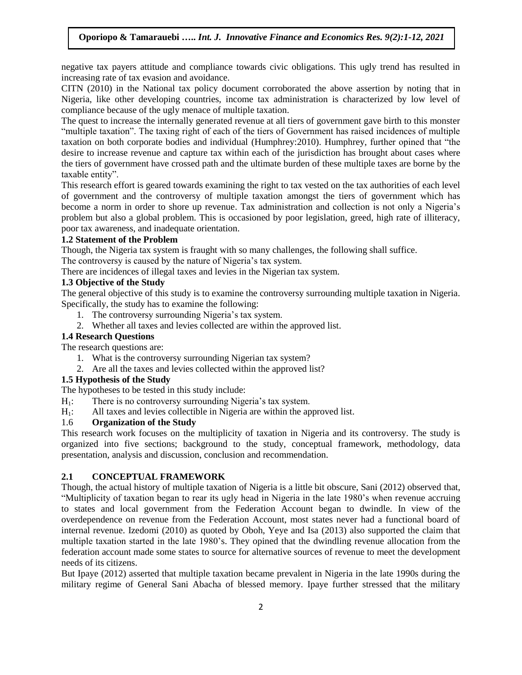negative tax payers attitude and compliance towards civic obligations. This ugly trend has resulted in increasing rate of tax evasion and avoidance.

CITN (2010) in the National tax policy document corroborated the above assertion by noting that in Nigeria, like other developing countries, income tax administration is characterized by low level of compliance because of the ugly menace of multiple taxation.

The quest to increase the internally generated revenue at all tiers of government gave birth to this monster "multiple taxation". The taxing right of each of the tiers of Government has raised incidences of multiple taxation on both corporate bodies and individual (Humphrey: 2010). Humphrey, further opined that "the desire to increase revenue and capture tax within each of the jurisdiction has brought about cases where the tiers of government have crossed path and the ultimate burden of these multiple taxes are borne by the taxable entity".

This research effort is geared towards examining the right to tax vested on the tax authorities of each level of government and the controversy of multiple taxation amongst the tiers of government which has become a norm in order to shore up revenue. Tax administration and collection is not only a Nigeria's problem but also a global problem. This is occasioned by poor legislation, greed, high rate of illiteracy, poor tax awareness, and inadequate orientation.

### **1.2 Statement of the Problem**

Though, the Nigeria tax system is fraught with so many challenges, the following shall suffice.

The controversy is caused by the nature of Nigeria's tax system.

There are incidences of illegal taxes and levies in the Nigerian tax system.

# **1.3 Objective of the Study**

The general objective of this study is to examine the controversy surrounding multiple taxation in Nigeria. Specifically, the study has to examine the following:

- 1. The controversy surrounding Nigeria's tax system.
- 2. Whether all taxes and levies collected are within the approved list.

### **1.4 Research Questions**

The research questions are:

- 1. What is the controversy surrounding Nigerian tax system?
- 2. Are all the taxes and levies collected within the approved list?

### **1.5 Hypothesis of the Study**

The hypotheses to be tested in this study include:

- $H_1$ : There is no controversy surrounding Nigeria's tax system.
- H1: All taxes and levies collectible in Nigeria are within the approved list.

### 1.6 **Organization of the Study**

This research work focuses on the multiplicity of taxation in Nigeria and its controversy. The study is organized into five sections; background to the study, conceptual framework, methodology, data presentation, analysis and discussion, conclusion and recommendation.

### **2.1 CONCEPTUAL FRAMEWORK**

Though, the actual history of multiple taxation of Nigeria is a little bit obscure, Sani (2012) observed that, ―Multiplicity of taxation began to rear its ugly head in Nigeria in the late 1980's when revenue accruing to states and local government from the Federation Account began to dwindle. In view of the overdependence on revenue from the Federation Account, most states never had a functional board of internal revenue. Izedomi (2010) as quoted by Oboh, Yeye and Isa (2013) also supported the claim that multiple taxation started in the late 1980's. They opined that the dwindling revenue allocation from the federation account made some states to source for alternative sources of revenue to meet the development needs of its citizens.

But Ipaye (2012) asserted that multiple taxation became prevalent in Nigeria in the late 1990s during the military regime of General Sani Abacha of blessed memory. Ipaye further stressed that the military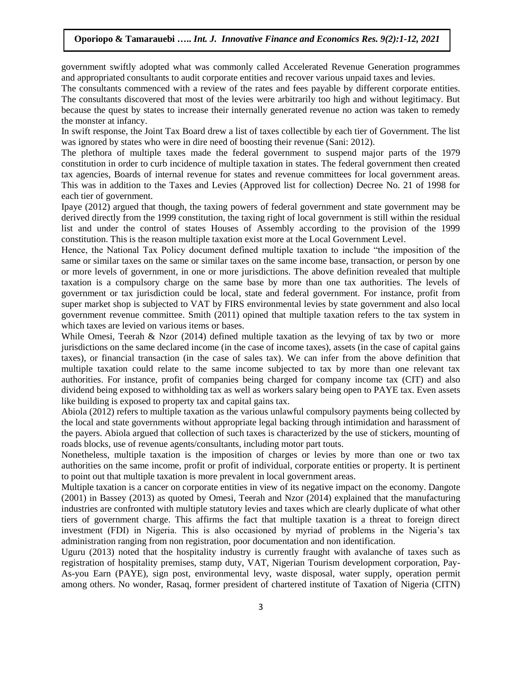government swiftly adopted what was commonly called Accelerated Revenue Generation programmes and appropriated consultants to audit corporate entities and recover various unpaid taxes and levies.

The consultants commenced with a review of the rates and fees payable by different corporate entities. The consultants discovered that most of the levies were arbitrarily too high and without legitimacy. But because the quest by states to increase their internally generated revenue no action was taken to remedy the monster at infancy.

In swift response, the Joint Tax Board drew a list of taxes collectible by each tier of Government. The list was ignored by states who were in dire need of boosting their revenue (Sani: 2012).

The plethora of multiple taxes made the federal government to suspend major parts of the 1979 constitution in order to curb incidence of multiple taxation in states. The federal government then created tax agencies, Boards of internal revenue for states and revenue committees for local government areas. This was in addition to the Taxes and Levies (Approved list for collection) Decree No. 21 of 1998 for each tier of government.

Ipaye (2012) argued that though, the taxing powers of federal government and state government may be derived directly from the 1999 constitution, the taxing right of local government is still within the residual list and under the control of states Houses of Assembly according to the provision of the 1999 constitution. This is the reason multiple taxation exist more at the Local Government Level.

Hence, the National Tax Policy document defined multiple taxation to include "the imposition of the same or similar taxes on the same or similar taxes on the same income base, transaction, or person by one or more levels of government, in one or more jurisdictions. The above definition revealed that multiple taxation is a compulsory charge on the same base by more than one tax authorities. The levels of government or tax jurisdiction could be local, state and federal government. For instance, profit from super market shop is subjected to VAT by FIRS environmental levies by state government and also local government revenue committee. Smith (2011) opined that multiple taxation refers to the tax system in which taxes are levied on various items or bases.

While Omesi, Teerah & Nzor (2014) defined multiple taxation as the levying of tax by two or more jurisdictions on the same declared income (in the case of income taxes), assets (in the case of capital gains taxes), or financial transaction (in the case of sales tax). We can infer from the above definition that multiple taxation could relate to the same income subjected to tax by more than one relevant tax authorities. For instance, profit of companies being charged for company income tax (CIT) and also dividend being exposed to withholding tax as well as workers salary being open to PAYE tax. Even assets like building is exposed to property tax and capital gains tax.

Abiola (2012) refers to multiple taxation as the various unlawful compulsory payments being collected by the local and state governments without appropriate legal backing through intimidation and harassment of the payers. Abiola argued that collection of such taxes is characterized by the use of stickers, mounting of roads blocks, use of revenue agents/consultants, including motor part touts.

Nonetheless, multiple taxation is the imposition of charges or levies by more than one or two tax authorities on the same income, profit or profit of individual, corporate entities or property. It is pertinent to point out that multiple taxation is more prevalent in local government areas.

Multiple taxation is a cancer on corporate entities in view of its negative impact on the economy. Dangote (2001) in Bassey (2013) as quoted by Omesi, Teerah and Nzor (2014) explained that the manufacturing industries are confronted with multiple statutory levies and taxes which are clearly duplicate of what other tiers of government charge. This affirms the fact that multiple taxation is a threat to foreign direct investment (FDI) in Nigeria. This is also occasioned by myriad of problems in the Nigeria's tax administration ranging from non registration, poor documentation and non identification.

Uguru (2013) noted that the hospitality industry is currently fraught with avalanche of taxes such as registration of hospitality premises, stamp duty, VAT, Nigerian Tourism development corporation, Pay-As-you Earn (PAYE), sign post, environmental levy, waste disposal, water supply, operation permit among others. No wonder, Rasaq, former president of chartered institute of Taxation of Nigeria (CITN)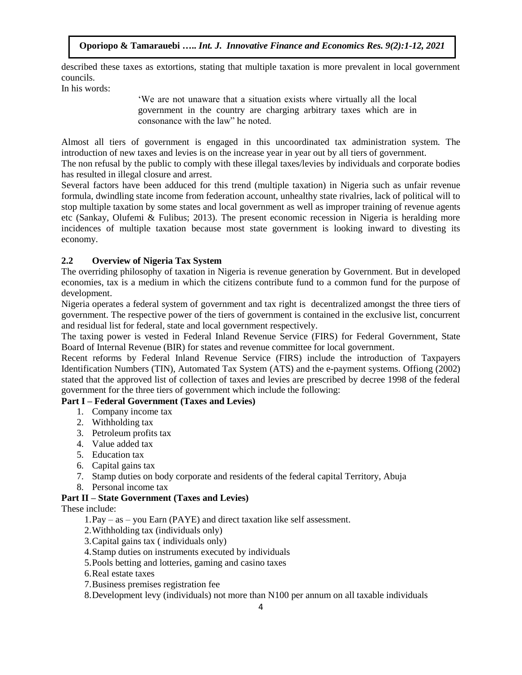described these taxes as extortions, stating that multiple taxation is more prevalent in local government councils.

In his words:

‗We are not unaware that a situation exists where virtually all the local government in the country are charging arbitrary taxes which are in consonance with the law" he noted.

Almost all tiers of government is engaged in this uncoordinated tax administration system. The introduction of new taxes and levies is on the increase year in year out by all tiers of government.

The non refusal by the public to comply with these illegal taxes/levies by individuals and corporate bodies has resulted in illegal closure and arrest.

Several factors have been adduced for this trend (multiple taxation) in Nigeria such as unfair revenue formula, dwindling state income from federation account, unhealthy state rivalries, lack of political will to stop multiple taxation by some states and local government as well as improper training of revenue agents etc (Sankay, Olufemi & Fulibus; 2013). The present economic recession in Nigeria is heralding more incidences of multiple taxation because most state government is looking inward to divesting its economy.

# **2.2 Overview of Nigeria Tax System**

The overriding philosophy of taxation in Nigeria is revenue generation by Government. But in developed economies, tax is a medium in which the citizens contribute fund to a common fund for the purpose of development.

Nigeria operates a federal system of government and tax right is decentralized amongst the three tiers of government. The respective power of the tiers of government is contained in the exclusive list, concurrent and residual list for federal, state and local government respectively.

The taxing power is vested in Federal Inland Revenue Service (FIRS) for Federal Government, State Board of Internal Revenue (BIR) for states and revenue committee for local government.

Recent reforms by Federal Inland Revenue Service (FIRS) include the introduction of Taxpayers Identification Numbers (TIN), Automated Tax System (ATS) and the e-payment systems. Offiong (2002) stated that the approved list of collection of taxes and levies are prescribed by decree 1998 of the federal government for the three tiers of government which include the following:

# **Part I – Federal Government (Taxes and Levies)**

- 1. Company income tax
- 2. Withholding tax
- 3. Petroleum profits tax
- 4. Value added tax
- 5. Education tax
- 6. Capital gains tax
- 7. Stamp duties on body corporate and residents of the federal capital Territory, Abuja
- 8. Personal income tax

# **Part II – State Government (Taxes and Levies)**

These include:

1.Pay – as – you Earn (PAYE) and direct taxation like self assessment.

- 2.Withholding tax (individuals only)
- 3.Capital gains tax ( individuals only)
- 4.Stamp duties on instruments executed by individuals
- 5.Pools betting and lotteries, gaming and casino taxes
- 6.Real estate taxes
- 7.Business premises registration fee

8.Development levy (individuals) not more than N100 per annum on all taxable individuals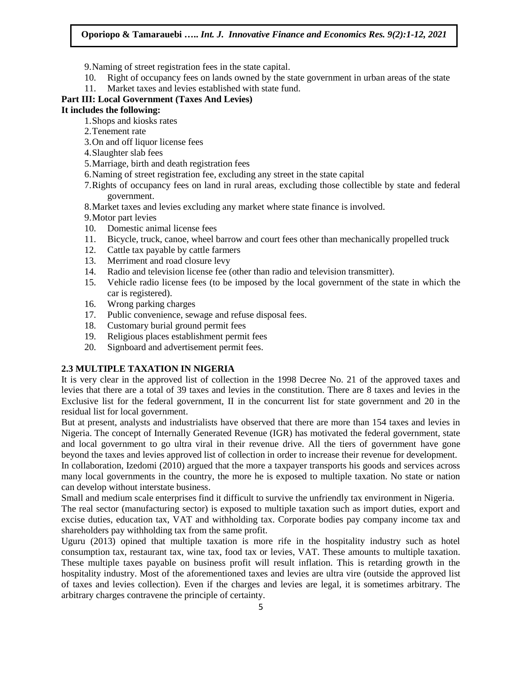9.Naming of street registration fees in the state capital.

- 10. Right of occupancy fees on lands owned by the state government in urban areas of the state
- 11. Market taxes and levies established with state fund.

# **Part III: Local Government (Taxes And Levies)**

# **It includes the following:**

- 1.Shops and kiosks rates
- 2.Tenement rate
- 3.On and off liquor license fees
- 4.Slaughter slab fees
- 5.Marriage, birth and death registration fees
- 6.Naming of street registration fee, excluding any street in the state capital
- 7.Rights of occupancy fees on land in rural areas, excluding those collectible by state and federal government.
- 8.Market taxes and levies excluding any market where state finance is involved.
- 9.Motor part levies
- 10. Domestic animal license fees
- 11. Bicycle, truck, canoe, wheel barrow and court fees other than mechanically propelled truck
- 12. Cattle tax payable by cattle farmers
- 13. Merriment and road closure levy
- 14. Radio and television license fee (other than radio and television transmitter).
- 15. Vehicle radio license fees (to be imposed by the local government of the state in which the car is registered).
- 16. Wrong parking charges
- 17. Public convenience, sewage and refuse disposal fees.
- 18. Customary burial ground permit fees
- 19. Religious places establishment permit fees
- 20. Signboard and advertisement permit fees.

# **2.3 MULTIPLE TAXATION IN NIGERIA**

It is very clear in the approved list of collection in the 1998 Decree No. 21 of the approved taxes and levies that there are a total of 39 taxes and levies in the constitution. There are 8 taxes and levies in the Exclusive list for the federal government, II in the concurrent list for state government and 20 in the residual list for local government.

But at present, analysts and industrialists have observed that there are more than 154 taxes and levies in Nigeria. The concept of Internally Generated Revenue (IGR) has motivated the federal government, state and local government to go ultra viral in their revenue drive. All the tiers of government have gone beyond the taxes and levies approved list of collection in order to increase their revenue for development.

In collaboration, Izedomi (2010) argued that the more a taxpayer transports his goods and services across many local governments in the country, the more he is exposed to multiple taxation. No state or nation can develop without interstate business.

Small and medium scale enterprises find it difficult to survive the unfriendly tax environment in Nigeria.

The real sector (manufacturing sector) is exposed to multiple taxation such as import duties, export and excise duties, education tax, VAT and withholding tax. Corporate bodies pay company income tax and shareholders pay withholding tax from the same profit.

Uguru (2013) opined that multiple taxation is more rife in the hospitality industry such as hotel consumption tax, restaurant tax, wine tax, food tax or levies, VAT. These amounts to multiple taxation. These multiple taxes payable on business profit will result inflation. This is retarding growth in the hospitality industry. Most of the aforementioned taxes and levies are ultra vire (outside the approved list of taxes and levies collection). Even if the charges and levies are legal, it is sometimes arbitrary. The arbitrary charges contravene the principle of certainty.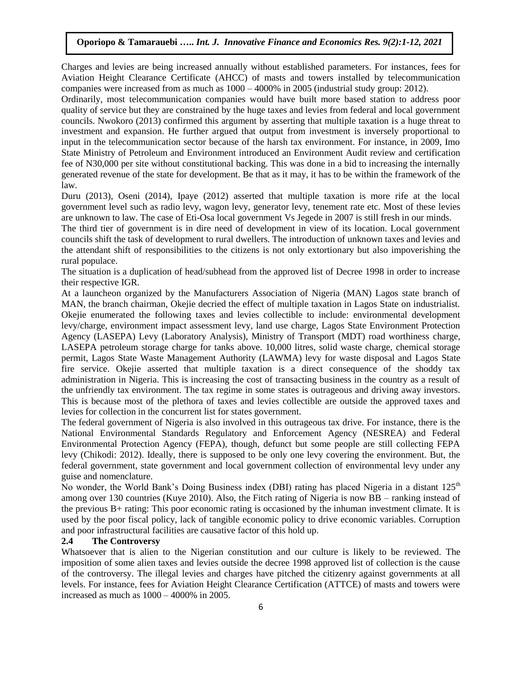Charges and levies are being increased annually without established parameters. For instances, fees for Aviation Height Clearance Certificate (AHCC) of masts and towers installed by telecommunication companies were increased from as much as 1000 – 4000% in 2005 (industrial study group: 2012).

Ordinarily, most telecommunication companies would have built more based station to address poor quality of service but they are constrained by the huge taxes and levies from federal and local government councils. Nwokoro (2013) confirmed this argument by asserting that multiple taxation is a huge threat to investment and expansion. He further argued that output from investment is inversely proportional to input in the telecommunication sector because of the harsh tax environment. For instance, in 2009, Imo State Ministry of Petroleum and Environment introduced an Environment Audit review and certification fee of N30,000 per site without constitutional backing. This was done in a bid to increasing the internally generated revenue of the state for development. Be that as it may, it has to be within the framework of the law.

Duru (2013), Oseni (2014), Ipaye (2012) asserted that multiple taxation is more rife at the local government level such as radio levy, wagon levy, generator levy, tenement rate etc. Most of these levies are unknown to law. The case of Eti-Osa local government Vs Jegede in 2007 is still fresh in our minds.

The third tier of government is in dire need of development in view of its location. Local government councils shift the task of development to rural dwellers. The introduction of unknown taxes and levies and the attendant shift of responsibilities to the citizens is not only extortionary but also impoverishing the rural populace.

The situation is a duplication of head/subhead from the approved list of Decree 1998 in order to increase their respective IGR.

At a launcheon organized by the Manufacturers Association of Nigeria (MAN) Lagos state branch of MAN, the branch chairman, Okejie decried the effect of multiple taxation in Lagos State on industrialist. Okejie enumerated the following taxes and levies collectible to include: environmental development levy/charge, environment impact assessment levy, land use charge, Lagos State Environment Protection Agency (LASEPA) Levy (Laboratory Analysis), Ministry of Transport (MDT) road worthiness charge, LASEPA petroleum storage charge for tanks above. 10,000 litres, solid waste charge, chemical storage permit, Lagos State Waste Management Authority (LAWMA) levy for waste disposal and Lagos State fire service. Okejie asserted that multiple taxation is a direct consequence of the shoddy tax administration in Nigeria. This is increasing the cost of transacting business in the country as a result of the unfriendly tax environment. The tax regime in some states is outrageous and driving away investors. This is because most of the plethora of taxes and levies collectible are outside the approved taxes and levies for collection in the concurrent list for states government.

The federal government of Nigeria is also involved in this outrageous tax drive. For instance, there is the National Environmental Standards Regulatory and Enforcement Agency (NESREA) and Federal Environmental Protection Agency (FEPA), though, defunct but some people are still collecting FEPA levy (Chikodi: 2012). Ideally, there is supposed to be only one levy covering the environment. But, the federal government, state government and local government collection of environmental levy under any guise and nomenclature.

No wonder, the World Bank's Doing Business index (DBI) rating has placed Nigeria in a distant 125<sup>th</sup> among over 130 countries (Kuye 2010). Also, the Fitch rating of Nigeria is now BB – ranking instead of the previous B+ rating: This poor economic rating is occasioned by the inhuman investment climate. It is used by the poor fiscal policy, lack of tangible economic policy to drive economic variables. Corruption and poor infrastructural facilities are causative factor of this hold up.

#### **2.4 The Controversy**

Whatsoever that is alien to the Nigerian constitution and our culture is likely to be reviewed. The imposition of some alien taxes and levies outside the decree 1998 approved list of collection is the cause of the controversy. The illegal levies and charges have pitched the citizenry against governments at all levels. For instance, fees for Aviation Height Clearance Certification (ATTCE) of masts and towers were increased as much as 1000 – 4000% in 2005.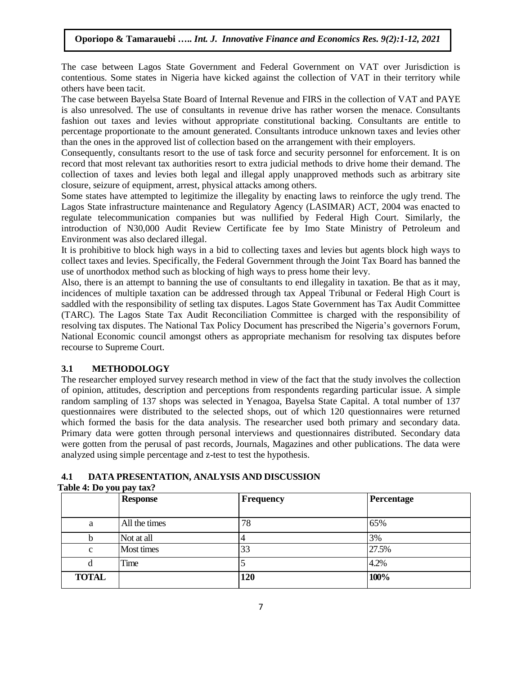The case between Lagos State Government and Federal Government on VAT over Jurisdiction is contentious. Some states in Nigeria have kicked against the collection of VAT in their territory while others have been tacit.

The case between Bayelsa State Board of Internal Revenue and FIRS in the collection of VAT and PAYE is also unresolved. The use of consultants in revenue drive has rather worsen the menace. Consultants fashion out taxes and levies without appropriate constitutional backing. Consultants are entitle to percentage proportionate to the amount generated. Consultants introduce unknown taxes and levies other than the ones in the approved list of collection based on the arrangement with their employers.

Consequently, consultants resort to the use of task force and security personnel for enforcement. It is on record that most relevant tax authorities resort to extra judicial methods to drive home their demand. The collection of taxes and levies both legal and illegal apply unapproved methods such as arbitrary site closure, seizure of equipment, arrest, physical attacks among others.

Some states have attempted to legitimize the illegality by enacting laws to reinforce the ugly trend. The Lagos State infrastructure maintenance and Regulatory Agency (LASIMAR) ACT, 2004 was enacted to regulate telecommunication companies but was nullified by Federal High Court. Similarly, the introduction of N30,000 Audit Review Certificate fee by Imo State Ministry of Petroleum and Environment was also declared illegal.

It is prohibitive to block high ways in a bid to collecting taxes and levies but agents block high ways to collect taxes and levies. Specifically, the Federal Government through the Joint Tax Board has banned the use of unorthodox method such as blocking of high ways to press home their levy.

Also, there is an attempt to banning the use of consultants to end illegality in taxation. Be that as it may, incidences of multiple taxation can be addressed through tax Appeal Tribunal or Federal High Court is saddled with the responsibility of setling tax disputes. Lagos State Government has Tax Audit Committee (TARC). The Lagos State Tax Audit Reconciliation Committee is charged with the responsibility of resolving tax disputes. The National Tax Policy Document has prescribed the Nigeria's governors Forum, National Economic council amongst others as appropriate mechanism for resolving tax disputes before recourse to Supreme Court.

### **3.1 METHODOLOGY**

The researcher employed survey research method in view of the fact that the study involves the collection of opinion, attitudes, description and perceptions from respondents regarding particular issue. A simple random sampling of 137 shops was selected in Yenagoa, Bayelsa State Capital. A total number of 137 questionnaires were distributed to the selected shops, out of which 120 questionnaires were returned which formed the basis for the data analysis. The researcher used both primary and secondary data. Primary data were gotten through personal interviews and questionnaires distributed. Secondary data were gotten from the perusal of past records, Journals, Magazines and other publications. The data were analyzed using simple percentage and z-test to test the hypothesis.

# **4.1 DATA PRESENTATION, ANALYSIS AND DISCUSSION**

|              | <b>Response</b> | Frequency | Percentage |
|--------------|-----------------|-----------|------------|
| a            | All the times   | 78        | 65%        |
|              | Not at all      |           | 3%         |
| $\mathbf{c}$ | Most times      | 33        | 27.5%      |
| d            | Time            |           | 4.2%       |
| <b>TOTAL</b> |                 | 120       | 100%       |

### **Table 4: Do you pay tax?**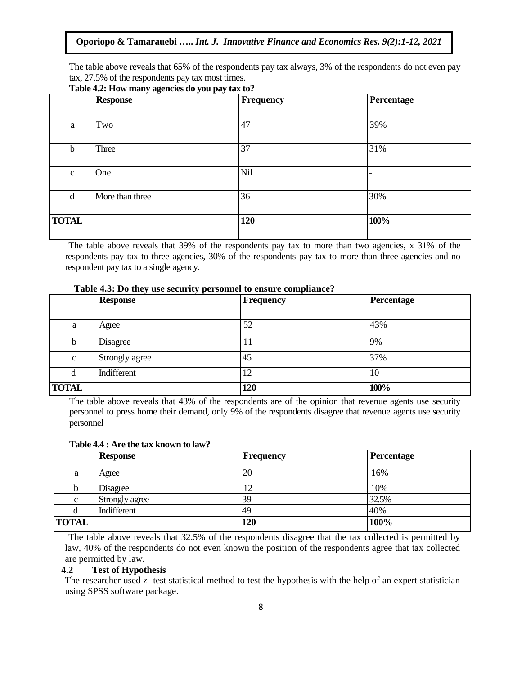The table above reveals that 65% of the respondents pay tax always, 3% of the respondents do not even pay tax, 27.5% of the respondents pay tax most times.

|              | <b>Response</b> | Frequency | Percentage |
|--------------|-----------------|-----------|------------|
|              |                 |           |            |
| a            | Two             | 47        | 39%        |
| $\mathbf b$  | Three           | 37        | 31%        |
| $\mathbf c$  | One             | Nil       |            |
| d            | More than three | 36        | 30%        |
| <b>TOTAL</b> |                 | 120       | 100%       |

### **Table 4.2: How many agencies do you pay tax to?**

The table above reveals that 39% of the respondents pay tax to more than two agencies, x 31% of the respondents pay tax to three agencies, 30% of the respondents pay tax to more than three agencies and no respondent pay tax to a single agency.

|              | <b>Response</b> | <b>Frequency</b> | Percentage |
|--------------|-----------------|------------------|------------|
| a            | Agree           | 52               | 43%        |
| b            | Disagree        | 11               | 9%         |
| $\mathbf c$  | Strongly agree  | 45               | 37%        |
| d            | Indifferent     | 12               | 10         |
| <b>TOTAL</b> |                 | 120              | 100%       |

**Table 4.3: Do they use security personnel to ensure compliance?**

The table above reveals that 43% of the respondents are of the opinion that revenue agents use security personnel to press home their demand, only 9% of the respondents disagree that revenue agents use security personnel

|              | <b>Response</b> | <b>Frequency</b> | <b>Percentage</b> |  |  |  |  |
|--------------|-----------------|------------------|-------------------|--|--|--|--|
| a            | Agree           | 20               | 16%               |  |  |  |  |
| D            | <b>Disagree</b> | '2               | 10%               |  |  |  |  |
| $\mathbf{c}$ | Strongly agree  | 39               | 32.5%             |  |  |  |  |
| d            | Indifferent     | 49               | 40%               |  |  |  |  |
| <b>TOTAL</b> |                 | 120              | 100%              |  |  |  |  |

#### **Table 4.4 : Are the tax known to law?**

The table above reveals that 32.5% of the respondents disagree that the tax collected is permitted by law, 40% of the respondents do not even known the position of the respondents agree that tax collected are permitted by law.

### **4.2 Test of Hypothesis**

The researcher used z- test statistical method to test the hypothesis with the help of an expert statistician using SPSS software package.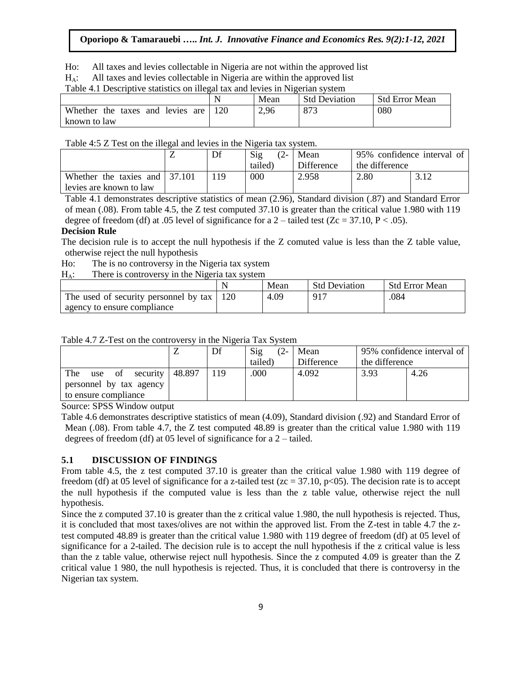Ho: All taxes and levies collectable in Nigeria are not within the approved list

 $H_A$ : All taxes and levies collectable in Nigeria are within the approved list

Table 4.1 Descriptive statistics on illegal tax and levies in Nigerian system

|                                     | N   | Mean | <b>Std Deviation</b> | <b>Std Error Mean</b> |
|-------------------------------------|-----|------|----------------------|-----------------------|
| Whether the taxes<br>and levies are | 120 | 2,96 | 873                  | 080                   |
| known to law                        |     |      |                      |                       |

Table 4:5 Z Test on the illegal and levies in the Nigeria tax system.

|                                                                  | Df | $\mathrm{Sig}$<br>$\varphi$<br>tailed) | Mean<br>Difference | 95% confidence interval of<br>the difference |  |
|------------------------------------------------------------------|----|----------------------------------------|--------------------|----------------------------------------------|--|
| Whether the taxies and $\vert$ 37.101<br>levies are known to law | 19 | 000                                    | 2.958              | 2.80                                         |  |

Table 4.1 demonstrates descriptive statistics of mean (2.96), Standard division (.87) and Standard Error of mean (.08). From table 4.5, the Z test computed 37.10 is greater than the critical value 1.980 with 119 degree of freedom (df) at .05 level of significance for a  $2$  – tailed test (Zc = 37.10, P < .05).

#### **Decision Rule**

The decision rule is to accept the null hypothesis if the Z comuted value is less than the Z table value, otherwise reject the null hypothesis

Ho: The is no controversy in the Nigeria tax system

 $H_{\Delta}$ : There is controversy in the Nigeria tax system

|                                       | Mean | <b>Std Deviation</b> | <b>Std Error Mean</b> |
|---------------------------------------|------|----------------------|-----------------------|
| The used of security personnel by tax | 4.09 | 917                  | .084                  |
| agency to ensure compliance           |      |                      |                       |

| Table 4.7 Z-Test on the controversy in the Nigeria Tax System |  |  |
|---------------------------------------------------------------|--|--|
|                                                               |  |  |

|                                |        | Df | Sig<br>$(2 -$ | Mean       |                | 95% confidence interval of |
|--------------------------------|--------|----|---------------|------------|----------------|----------------------------|
|                                |        |    | tailed)       | Difference | the difference |                            |
| The<br>security<br>- of<br>use | 48.897 |    | .000          | 4.092      | 3.93           | 4.26                       |
| personnel by tax agency        |        |    |               |            |                |                            |
| to ensure compliance           |        |    |               |            |                |                            |
|                                |        |    |               |            |                |                            |

Source: SPSS Window output

Table 4.6 demonstrates descriptive statistics of mean (4.09), Standard division (.92) and Standard Error of Mean (.08). From table 4.7, the Z test computed 48.89 is greater than the critical value 1.980 with 119 degrees of freedom (df) at 05 level of significance for a 2 – tailed.

### **5.1 DISCUSSION OF FINDINGS**

From table 4.5, the z test computed 37.10 is greater than the critical value 1.980 with 119 degree of freedom (df) at 05 level of significance for a z-tailed test ( $zc = 37.10$ ,  $p < 05$ ). The decision rate is to accept the null hypothesis if the computed value is less than the z table value, otherwise reject the null hypothesis.

Since the z computed 37.10 is greater than the z critical value 1.980, the null hypothesis is rejected. Thus, it is concluded that most taxes/olives are not within the approved list. From the Z-test in table 4.7 the ztest computed 48.89 is greater than the critical value 1.980 with 119 degree of freedom (df) at 05 level of significance for a 2-tailed. The decision rule is to accept the null hypothesis if the z critical value is less than the z table value, otherwise reject null hypothesis. Since the z computed 4.09 is greater than the Z critical value 1 980, the null hypothesis is rejected. Thus, it is concluded that there is controversy in the Nigerian tax system.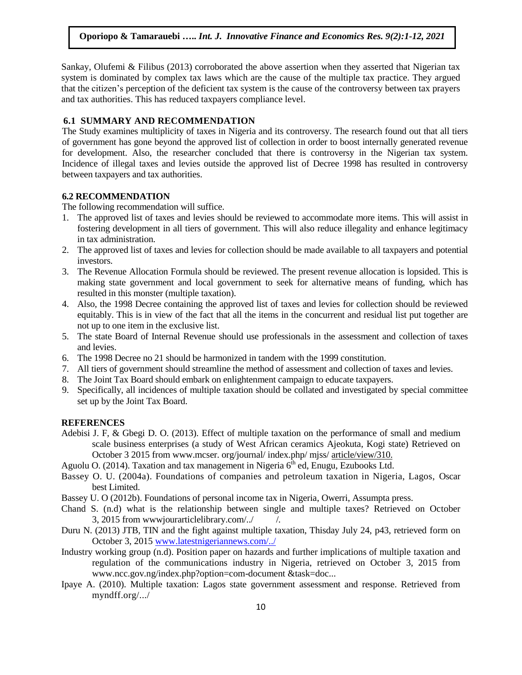Sankay, Olufemi & Filibus (2013) corroborated the above assertion when they asserted that Nigerian tax system is dominated by complex tax laws which are the cause of the multiple tax practice. They argued that the citizen's perception of the deficient tax system is the cause of the controversy between tax prayers and tax authorities. This has reduced taxpayers compliance level.

### **6.1 SUMMARY AND RECOMMENDATION**

The Study examines multiplicity of taxes in Nigeria and its controversy. The research found out that all tiers of government has gone beyond the approved list of collection in order to boost internally generated revenue for development. Also, the researcher concluded that there is controversy in the Nigerian tax system. Incidence of illegal taxes and levies outside the approved list of Decree 1998 has resulted in controversy between taxpayers and tax authorities.

### **6.2 RECOMMENDATION**

The following recommendation will suffice.

- 1. The approved list of taxes and levies should be reviewed to accommodate more items. This will assist in fostering development in all tiers of government. This will also reduce illegality and enhance legitimacy in tax administration.
- 2. The approved list of taxes and levies for collection should be made available to all taxpayers and potential investors.
- 3. The Revenue Allocation Formula should be reviewed. The present revenue allocation is lopsided. This is making state government and local government to seek for alternative means of funding, which has resulted in this monster (multiple taxation).
- 4. Also, the 1998 Decree containing the approved list of taxes and levies for collection should be reviewed equitably. This is in view of the fact that all the items in the concurrent and residual list put together are not up to one item in the exclusive list.
- 5. The state Board of Internal Revenue should use professionals in the assessment and collection of taxes and levies.
- 6. The 1998 Decree no 21 should be harmonized in tandem with the 1999 constitution.
- 7. All tiers of government should streamline the method of assessment and collection of taxes and levies.
- 8. The Joint Tax Board should embark on enlightenment campaign to educate taxpayers.
- 9. Specifically, all incidences of multiple taxation should be collated and investigated by special committee set up by the Joint Tax Board.

#### **REFERENCES**

- Adebisi J. F, & Gbegi D. O. (2013). Effect of multiple taxation on the performance of small and medium scale business enterprises (a study of West African ceramics Ajeokuta, Kogi state) Retrieved on October 3 2015 from www.mcser. org/journal/ index.php/ mjss/ article/view/310.
- Aguolu O. (2014). Taxation and tax management in Nigeria  $6<sup>th</sup>$  ed, Enugu, Ezubooks Ltd.
- Bassey O. U. (2004a). Foundations of companies and petroleum taxation in Nigeria, Lagos, Oscar best Limited.
- Bassey U. O (2012b). Foundations of personal income tax in Nigeria, Owerri, Assumpta press.
- Chand S. (n.d) what is the relationship between single and multiple taxes? Retrieved on October  $3, 2015$  from wwwjourarticlelibrary.com/ $\frac{1}{2}$  /.
- Duru N. (2013) JTB, TIN and the fight against multiple taxation, Thisday July 24, p43, retrieved form on October 3, 2015 [www.latestnigeriannews.com/../](http://www.latestnigeriannews.com/)
- Industry working group (n.d). Position paper on hazards and further implications of multiple taxation and regulation of the communications industry in Nigeria, retrieved on October 3, 2015 from www.ncc.gov.ng/index.php?option=com-document &task=doc...
- Ipaye A. (2010). Multiple taxation: Lagos state government assessment and response. Retrieved from myndff.org/.../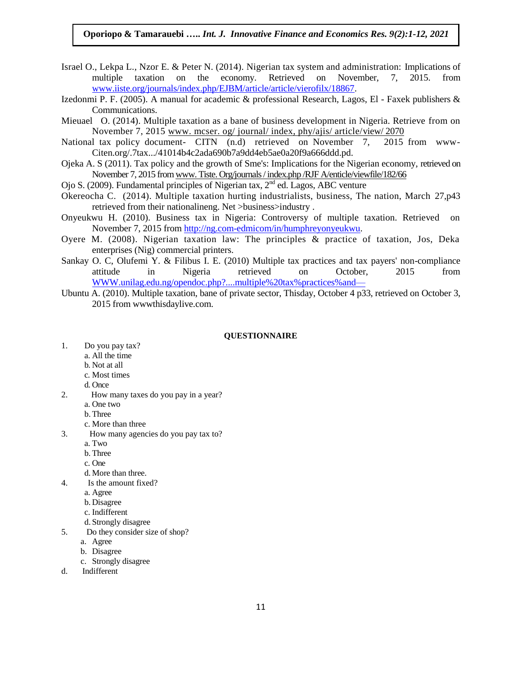- Israel O., Lekpa L., Nzor E. & Peter N. (2014). Nigerian tax system and administration: Implications of multiple taxation on the economy. Retrieved on November, 7, 2015. from [www.iiste.org/journals/index.php/EJBM/article/article/vierofilx/18867.](http://www.iiste.org/journals/index.php/EJBM/article/article/vierofilx/18867)
- Izedonmi P. F. (2005). A manual for academic & professional Research, Lagos, El Faxek publishers & Communications.
- Mieuael O. (2014). Multiple taxation as a bane of business development in Nigeria. Retrieve from on November 7, 2015 www. mcser. og/ journal/ index, phy/ajis/ article/view/ 2070
- National tax policy document- CITN (n.d) retrieved on November 7, 2015 from www-Citen.org/.7tax.../41014b4c2ada690b7a9dd4eb5ae0a20f9a666ddd.pd.
- Ojeka A. S (2011). Tax policy and the growth of Sme's: Implications for the Nigerian economy, retrieved on November 7, 2015 from www. Tiste. Org/journals / index.php /RJF A/enticle/viewfile/182/66
- Ojo S. (2009). Fundamental principles of Nigerian tax,  $2<sup>nd</sup>$  ed. Lagos, ABC venture
- Okereocha C. (2014). Multiple taxation hurting industrialists, business, The nation, March 27,p43 retrieved from their nationalineng. Net >business>industry .
- Onyeukwu H. (2010). Business tax in Nigeria: Controversy of multiple taxation. Retrieved on November 7, 2015 from [http://ng.com-edmicom/in/humphreyonyeukwu.](http://ng.com-edmicom/in/humphreyonyeukwu)
- Oyere M. (2008). Nigerian taxation law: The principles & practice of taxation, Jos, Deka enterprises (Nig) commercial printers.
- Sankay O. C, Olufemi Y. & Filibus I. E. (2010) Multiple tax practices and tax payers' non-compliance attitude in Nigeria retrieved on October, 2015 from [WWW.unilag.edu.ng/opendoc.php?....multiple%20tax%practices%and—](http://www.unilag.edu.ng/opendoc.php?....multiple%20tax%25practices%25and—)
- Ubuntu A. (2010). Multiple taxation, bane of private sector, Thisday, October 4 p33, retrieved on October 3, 2015 from wwwthisdaylive.com.

#### **QUESTIONNAIRE**

- 1. Do you pay tax?
	- a. All the time
	- b. Not at all
	- c. Most times
	- d. Once
- 2. How many taxes do you pay in a year?
	- a. One two
	- b.Three
	- c. More than three
- 3. How many agencies do you pay tax to?
	- a. Two
	- b. Three
	- c. One
	- d. More than three.
- 4. Is the amount fixed?
	- a. Agree
	- b. Disagree
	- c. Indifferent
	- d. Strongly disagree
- 5. Do they consider size of shop?
	- a. Agree
	- b. Disagree
	- c. Strongly disagree
- d. Indifferent